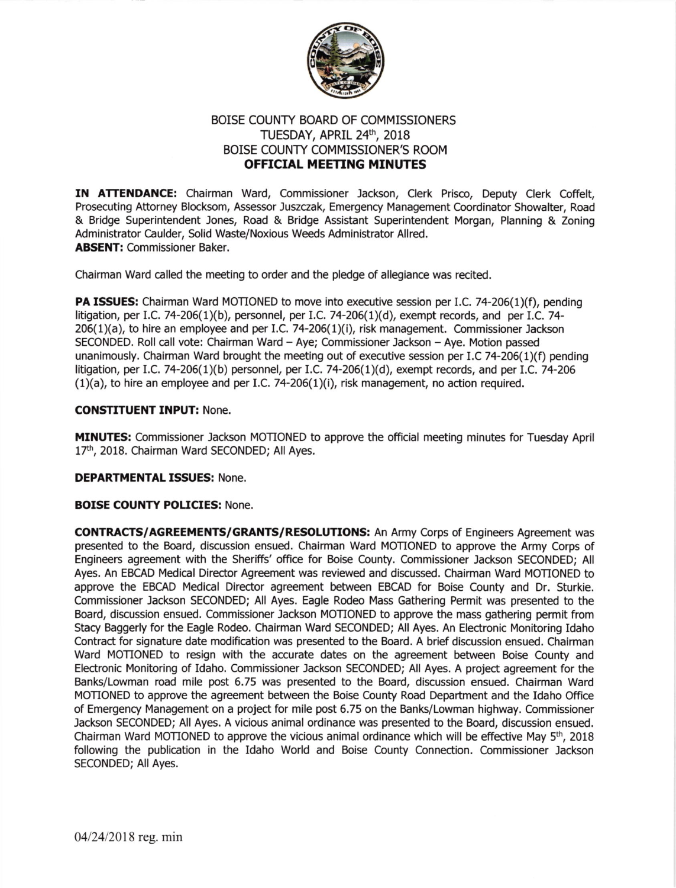

## BOISE COUNTY BOARD OF COMMISSIONERS TUESDAY, APRIL 24th, 2018 BOISE COUNTY COMMISSIONER'S ROOM OFFICIAL MEETING MINUTES

IN ATTENDANCE: Chairman Ward, Commissioner Jackson, Clerk Prisco, Deputy Clerk Coffelt, Prosecuting Attorney Blocksom, Assessor Juszczak, Emergency Management Coordinator Showalter, Road & Bridge Superintendent Jones, Road & Bridge Assistant Superintendent Morgan, Planning & Zoning Administrator Caulder, Solid Waste/Noxious Weeds Administrator Allred. ABSENT: Commissioner Baker.

Chairman Ward called the meeting to order and the pledge of allegiance was recited.

PA ISSUES: Chairman Ward MOTIONED to move into executive session per I.C. 74-206(1)(f), pending litigation, per I.C. 74-206(1)(b), personnel, per I.C. 74-206(1)(d), exempt records, and per I.C. 74-206(1)(a), to hire an employee and per I.C. 74-206(1)(i), risk management. Commissioner Jackson SECONDED. Roll call vote: Chairman Ward - Aye; Commissioner Jackson - Aye. Motion passed unanimously. Chairman Ward brought the meeting out of executive session per I.C 74-206(1)(f) pending litigation, per I.C, 7a-206(1)(b) personnel, per I.C. 74-206(1)(d), exempt records, and pet 1.C.74-206  $(1)(a)$ , to hire an employee and per I.C. 74-206 $(1)(i)$ , risk management, no action required.

## CONSTITUENT INPUT: None.

MINUTES: Commissioner Jackson MOTIONED to approve the official meeting minutes for Tuesday April 17th, 2018. Chairman Ward SECONDED; All Ayes.

## DEPARTMENTAL ISSUES: None.

## BOISE COUNTY POLICIES: None.

CONTRACTS/AGREEMENTS/GRANTS/RESOLUTIONS: An Army Corps of Engineers Agreement was presented to the Board, discussion ensued. Chairman Ward MOTIONED to approve the Army Corps of Engineers agreement with the Sheriffs'office for Boise County. Commissioner Jackson SECONDED; All Ayes. An EBCAD Medical Director Agreement was reviewed and discussed. Chairman Ward MOTIONED to approve the EBCAD Medical Director agreement between EBCAD for Boise County and Dr. Sturkie. Commissioner Jackson SECONDED; All Ayes. Eagle Rodeo Mass Gathering Permit was presented to the Board, discussion ensued, Commissioner Jackson MOTIONED to approve the mass gathering permit from Stacy Baggerly for the Eagle Rodeo. Chairman Ward SECONDED; All Ayes. An Electronic Monitoring Idaho Contract for signature date modification was presented to the Board. A brief discussion ensued. Chairman Ward MOTIONED to resign with the accurate dates on the agreement between Boise County and Electronic Monitoring of Idaho. Commissioner Jackson SECONDED; All Ayes. A project agreement for the Banks/Lowman road mile post 6.75 was presented to the Board, discussion ensued. Chairman Ward MOTIONED to approve the agreement between the Boise County Road Department and the Idaho Office of Emergency Management on a project for mile post 6.75 on the Banks/Lowman highway. Commissioner Jackson SECONDED; All Ayes. A vicious animal ordinance was presented to the Board, discussion ensued. Chairman Ward MOTIONED to approve the vicious animal ordinance which will be effective May  $5<sup>th</sup>$ , 2018 following the publication in the Idaho World and Boise County Connection. Commissioner Jackson SECONDED; All Ayes.